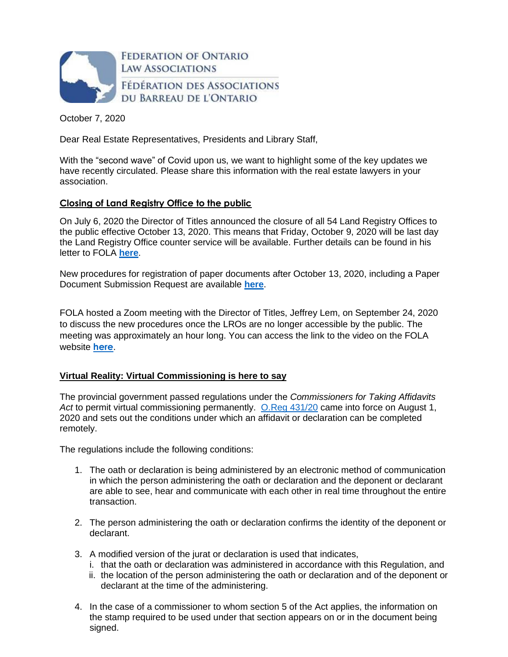

October 7, 2020

Dear Real Estate Representatives, Presidents and Library Staff,

With the "second wave" of Covid upon us, we want to highlight some of the key updates we have recently circulated. Please share this information with the real estate lawyers in your association.

# **Closing of Land Registry Office to the public**

On July 6, 2020 the Director of Titles announced the closure of all 54 Land Registry Offices to the public effective October 13, 2020. This means that Friday, October 9, 2020 will be last day the Land Registry Office counter service will be available. Further details can be found in his letter to FOLA **[here](https://img1.wsimg.com/blobby/go/63f6349d-d85d-4511-bc5f-4314d54b45d0/downloads/FOLA%20Jeff%20Lem%20July%206%202020.pdf?ver=1594063151594)**.

New procedures for registration of paper documents after October 13, 2020, including a Paper Document Submission Request are available **[here](https://img1.wsimg.com/blobby/go/63f6349d-d85d-4511-bc5f-4314d54b45d0/downloads/RE%20Update%202020.09.23.pdf?ver=1600896603420)**.

FOLA hosted a Zoom meeting with the Director of Titles, Jeffrey Lem, on September 24, 2020 to discuss the new procedures once the LROs are no longer accessible by the public. The meeting was approximately an hour long. You can access the link to the video on the FOLA website **[here](https://www.youtube.com/watch?v=BfoGvOWkMJE&feature=youtu.be)**.

# **Virtual Reality: Virtual Commissioning is here to say**

The provincial government passed regulations under the *Commissioners for Taking Affidavits*  Act to permit virtual commissioning permanently. [O.Reg 431/20](https://www.ontario.ca/laws/regulation/200431) came into force on August 1, 2020 and sets out the conditions under which an affidavit or declaration can be completed remotely.

The regulations include the following conditions:

- 1. The oath or declaration is being administered by an electronic method of communication in which the person administering the oath or declaration and the deponent or declarant are able to see, hear and communicate with each other in real time throughout the entire transaction.
- 2. The person administering the oath or declaration confirms the identity of the deponent or declarant.
- 3. A modified version of the jurat or declaration is used that indicates,
	- i. that the oath or declaration was administered in accordance with this Regulation, and
	- ii. the location of the person administering the oath or declaration and of the deponent or declarant at the time of the administering.
- 4. In the case of a commissioner to whom section 5 of the Act applies, the information on the stamp required to be used under that section appears on or in the document being signed.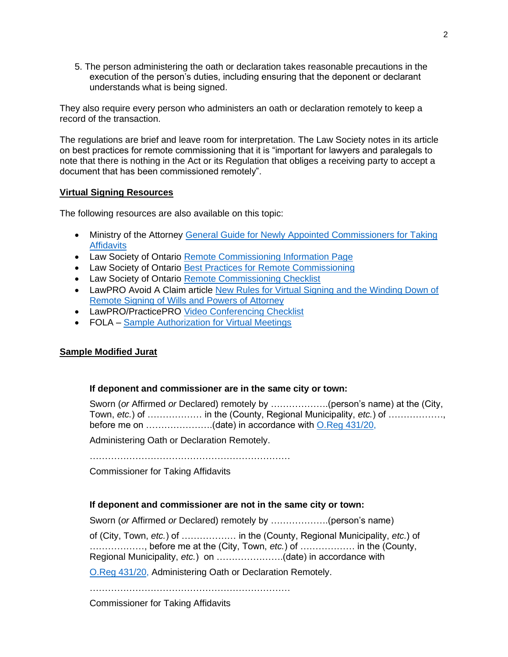5. The person administering the oath or declaration takes reasonable precautions in the execution of the person's duties, including ensuring that the deponent or declarant understands what is being signed.

They also require every person who administers an oath or declaration remotely to keep a record of the transaction.

The regulations are brief and leave room for interpretation. The Law Society notes in its article on best practices for remote commissioning that it is "important for lawyers and paralegals to note that there is nothing in the Act or its Regulation that obliges a receiving party to accept a document that has been commissioned remotely".

### **Virtual Signing Resources**

The following resources are also available on this topic:

- Ministry of the Attorney General Guide for Newly Appointed Commissioners for Taking **[Affidavits](https://www.attorneygeneral.jus.gov.on.ca/english/courts/notary_public/guide_for_newly_appointed_commissioners_for_taking_affidavits.html)**
- Law Society of Ontario [Remote Commissioning Information Page](https://lso.ca/lawyers/practice-supports-and-resources/topics/the-lawyer-client-relationship/commissioner-for-taking-affidavits-and-notary-publ/l%E2%80%99attestation-a-distance)
- Law Society of Ontario [Best Practices for Remote Commissioning](https://lawsocietyontario.azureedge.net/media/lso/media/lawyers/practice-supports-resources/best-practices-for-remote-commissioning-en.pdf)
- Law Society of Ontario [Remote Commissioning Checklist](https://lawsocietyontario.azureedge.net/media/lso/media/lawyers/practice-supports-resources/virtual-commissioning-checklist-en.pdf)
- LawPRO Avoid A Claim article [New Rules for Virtual Signing and the Winding Down of](https://avoidaclaim.com/2020/new-rules-for-virtual-signing-and-the-winding-down-of-remote-signings-of-wills-and-powers-of-attorney/)  [Remote Signing of Wills and Powers of Attorney](https://avoidaclaim.com/2020/new-rules-for-virtual-signing-and-the-winding-down-of-remote-signings-of-wills-and-powers-of-attorney/)
- LawPRO/PracticePRO [Video Conferencing Checklist](https://www.practicepro.ca/practice-aids/checklists/video-conferencing-checklist/)
- FOLA [Sample Authorization for Virtual Meetings](https://img1.wsimg.com/blobby/go/63f6349d-d85d-4511-bc5f-4314d54b45d0/downloads/Authorization%20For%20Virtual%20Meeting.pdf?ver=1591216845749)

### **Sample Modified Jurat**

## **If deponent and commissioner are in the same city or town:**

Sworn (*or* Affirmed *or* Declared) remotely by ……………….(person's name) at the (City, Town, *etc.*) of ……………… in the (County, Regional Municipality, *etc.*) of ………………, before me on ………………….(date) in accordance with [O.Reg 431/20,](https://www.ontario.ca/laws/regulation/200431)

Administering Oath or Declaration Remotely.

…………………………………………………………

Commissioner for Taking Affidavits

### **If deponent and commissioner are not in the same city or town:**

Sworn (*or* Affirmed *or* Declared) remotely by ……………….(person's name)

of (City, Town, *etc.*) of ……………… in the (County, Regional Municipality, *etc.*) of ………………, before me at the (City, Town, *etc.*) of ……………… in the (County, Regional Municipality, *etc.*) on ………………….(date) in accordance with

[O.Reg 431/20,](https://www.ontario.ca/laws/regulation/200431) Administering Oath or Declaration Remotely.

…………………………………………………………

Commissioner for Taking Affidavits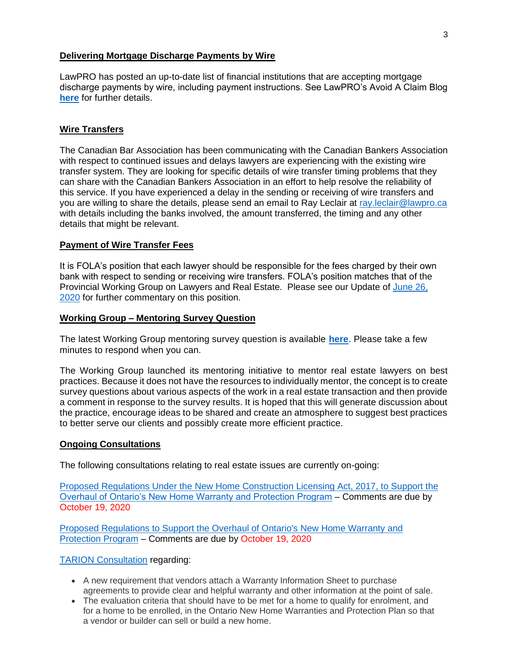## **Delivering Mortgage Discharge Payments by Wire**

LawPRO has posted an up-to-date list of financial institutions that are accepting mortgage discharge payments by wire, including payment instructions. See LawPRO's Avoid A Claim Blog **[here](https://avoidaclaim.com/2020/lenders-accepting-wire-payments-to-discharge-mortgages/)** for further details.

# **Wire Transfers**

The Canadian Bar Association has been communicating with the Canadian Bankers Association with respect to continued issues and delays lawyers are experiencing with the existing wire transfer system. They are looking for specific details of wire transfer timing problems that they can share with the Canadian Bankers Association in an effort to help resolve the reliability of this service. If you have experienced a delay in the sending or receiving of wire transfers and you are willing to share the details, please send an email to Ray Leclair at [ray.leclair@lawpro.ca](mailto:ray.leclair@lawpro.ca) with details including the banks involved, the amount transferred, the timing and any other details that might be relevant.

# **Payment of Wire Transfer Fees**

It is FOLA's position that each lawyer should be responsible for the fees charged by their own bank with respect to sending or receiving wire transfers. FOLA's position matches that of the Provincial Working Group on Lawyers and Real Estate. Please see our Update of [June 26,](https://img1.wsimg.com/blobby/go/63f6349d-d85d-4511-bc5f-4314d54b45d0/downloads/RE%20Update%202020.06.26.pdf?ver=1593100794534)  [2020](https://img1.wsimg.com/blobby/go/63f6349d-d85d-4511-bc5f-4314d54b45d0/downloads/RE%20Update%202020.06.26.pdf?ver=1593100794534) for further commentary on this position.

# **Working Group – Mentoring Survey Question**

The latest Working Group mentoring survey question is available **[here](https://www.lawyersworkinggroup.com/mentoring-initiative)**. Please take a few minutes to respond when you can.

The Working Group launched its mentoring initiative to mentor real estate lawyers on best practices. Because it does not have the resources to individually mentor, the concept is to create survey questions about various aspects of the work in a real estate transaction and then provide a comment in response to the survey results. It is hoped that this will generate discussion about the practice, encourage ideas to be shared and create an atmosphere to suggest best practices to better serve our clients and possibly create more efficient practice.

### **Ongoing Consultations**

The following consultations relating to real estate issues are currently on-going:

[Proposed Regulations Under the New Home Construction Licensing Act, 2017, to Support the](https://www.ontariocanada.com/registry/view.do?postingId=34387&language=en)  [Overhaul of Ontario's New Home Warranty and Protection Program](https://www.ontariocanada.com/registry/view.do?postingId=34387&language=en) – Comments are due by October 19, 2020

[Proposed Regulations to Support the Overhaul of Ontario's New Home Warranty and](https://www.ontariocanada.com/registry/view.do?postingId=34187&language=en)  [Protection Program](https://www.ontariocanada.com/registry/view.do?postingId=34187&language=en) – Comments are due by October 19, 2020

### [TARION Consultation](https://www.tarion.com/about/public-consultation/future-changes-tarion) regarding:

- A new requirement that vendors attach a Warranty Information Sheet to purchase agreements to provide clear and helpful warranty and other information at the point of sale.
- The evaluation criteria that should have to be met for a home to qualify for enrolment, and for a home to be enrolled, in the Ontario New Home Warranties and Protection Plan so that a vendor or builder can sell or build a new home.